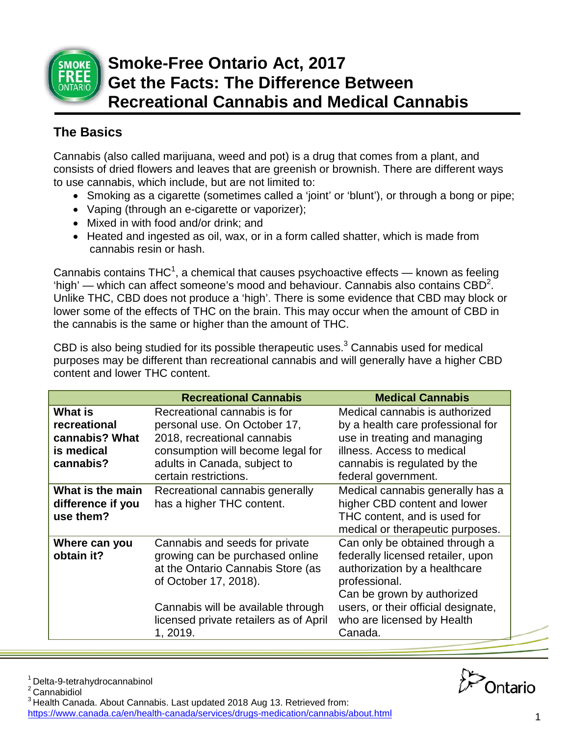

# **Smoke-Free Ontario Act, 2017 Get the Facts: The Difference Between Recreational Cannabis and Medical Cannabis**

## **The Basics**

Cannabis (also called marijuana, weed and pot) is a drug that comes from a plant, and consists of dried flowers and leaves that are greenish or brownish. There are different ways to use cannabis, which include, but are not limited to:

- Smoking as a cigarette (sometimes called a 'joint' or 'blunt'), or through a bong or pipe;
- Vaping (through an e-cigarette or vaporizer);
- Mixed in with food and/or drink; and
- Heated and ingested as oil, wax, or in a form called shatter, which is made from cannabis resin or hash.

Cannabis contains THC<sup>1</sup>, a chemical that causes psychoactive effects — known as feeling 'high' — which can affect someone's mood and behaviour. Cannabis also contains  $CBD^2$ . Unlike THC, CBD does not produce a 'high'. There is some evidence that CBD may block or lower some of the effects of THC on the brain. This may occur when the amount of CBD in the cannabis is the same or higher than the amount of THC.

CBD is also being studied for its possible therapeutic uses. $3$  Cannabis used for medical purposes may be different than recreational cannabis and will generally have a higher CBD content and lower THC content.

|                   | <b>Recreational Cannabis</b>                               | <b>Medical Cannabis</b>                        |
|-------------------|------------------------------------------------------------|------------------------------------------------|
| <b>What is</b>    | Recreational cannabis is for                               | Medical cannabis is authorized                 |
| recreational      | personal use. On October 17,                               | by a health care professional for              |
| cannabis? What    | 2018, recreational cannabis                                | use in treating and managing                   |
| is medical        | consumption will become legal for                          | illness. Access to medical                     |
| cannabis?         | adults in Canada, subject to                               | cannabis is regulated by the                   |
|                   | certain restrictions.                                      | federal government.                            |
| What is the main  | Recreational cannabis generally                            | Medical cannabis generally has a               |
| difference if you | has a higher THC content.                                  | higher CBD content and lower                   |
| use them?         |                                                            | THC content, and is used for                   |
|                   |                                                            | medical or therapeutic purposes.               |
| Where can you     | Cannabis and seeds for private                             | Can only be obtained through a                 |
| obtain it?        | growing can be purchased online                            | federally licensed retailer, upon              |
|                   | at the Ontario Cannabis Store (as<br>of October 17, 2018). | authorization by a healthcare<br>professional. |
|                   |                                                            | Can be grown by authorized                     |
|                   | Cannabis will be available through                         | users, or their official designate,            |
|                   | licensed private retailers as of April                     | who are licensed by Health                     |
|                   | 1, 2019.                                                   | Canada.                                        |



 $1$  Delta-9-tetrahydrocannabinol<br><sup>2</sup> Cannabidiol

3 Health Canada. About Cannabis. Last updated 2018 Aug 13. Retrieved from: <https://www.canada.ca/en/health-canada/services/drugs-medication/cannabis/about.html> 1